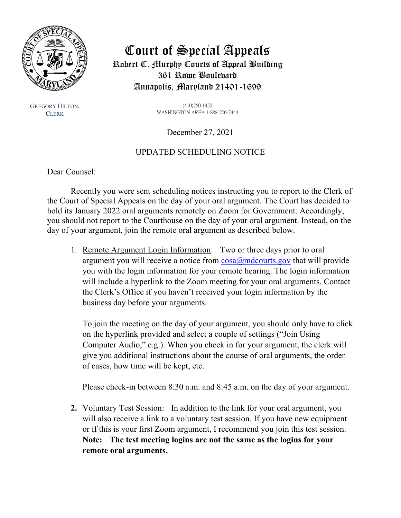

GREGORY HILTON, **CLERK** 

# Court of Special Appeals Robert C. Murphy Courts of Appeal Building 361 Rowe Boulevard Annapolis, Maryland 21401-1699

(410)260-1450 WASHINGTON AREA 1-888-200-7444

December 27, 2021

## UPDATED SCHEDULING NOTICE

Dear Counsel:

Recently you were sent scheduling notices instructing you to report to the Clerk of the Court of Special Appeals on the day of your oral argument. The Court has decided to hold its January 2022 oral arguments remotely on Zoom for Government. Accordingly, you should not report to the Courthouse on the day of your oral argument. Instead, on the day of your argument, join the remote oral argument as described below.

1. Remote Argument Login Information: Two or three days prior to oral argument you will receive a notice from  $cosa(\omega)$ mdcourts.gov that will provide you with the login information for your remote hearing. The login information will include a hyperlink to the Zoom meeting for your oral arguments. Contact the Clerk's Office if you haven't received your login information by the business day before your arguments.

To join the meeting on the day of your argument, you should only have to click on the hyperlink provided and select a couple of settings ("Join Using Computer Audio," e.g.). When you check in for your argument, the clerk will give you additional instructions about the course of oral arguments, the order of cases, how time will be kept, etc.

Please check-in between 8:30 a.m. and 8:45 a.m. on the day of your argument.

**2.** Voluntary Test Session: In addition to the link for your oral argument, you will also receive a link to a voluntary test session. If you have new equipment or if this is your first Zoom argument, I recommend you join this test session. **Note: The test meeting logins are not the same as the logins for your remote oral arguments.**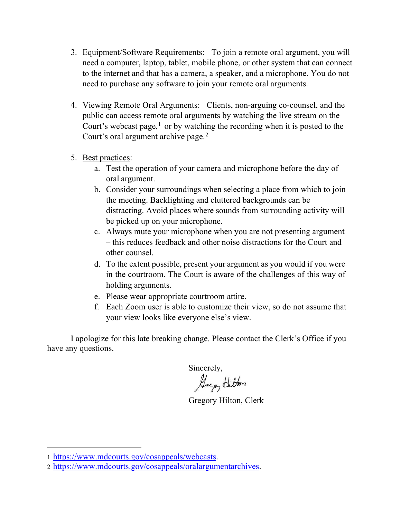- 3. Equipment/Software Requirements: To join a remote oral argument, you will need a computer, laptop, tablet, mobile phone, or other system that can connect to the internet and that has a camera, a speaker, and a microphone. You do not need to purchase any software to join your remote oral arguments.
- 4. Viewing Remote Oral Arguments: Clients, non-arguing co-counsel, and the public can access remote oral arguments by watching the live stream on the Court's webcast page, $<sup>1</sup>$  $<sup>1</sup>$  $<sup>1</sup>$  or by watching the recording when it is posted to the</sup> Court's oral argument archive page.<sup>[2](#page-1-1)</sup>
- 5. Best practices:
	- a. Test the operation of your camera and microphone before the day of oral argument.
	- b. Consider your surroundings when selecting a place from which to join the meeting. Backlighting and cluttered backgrounds can be distracting. Avoid places where sounds from surrounding activity will be picked up on your microphone.
	- c. Always mute your microphone when you are not presenting argument – this reduces feedback and other noise distractions for the Court and other counsel.
	- d. To the extent possible, present your argument as you would if you were in the courtroom. The Court is aware of the challenges of this way of holding arguments.
	- e. Please wear appropriate courtroom attire.
	- f. Each Zoom user is able to customize their view, so do not assume that your view looks like everyone else's view.

I apologize for this late breaking change. Please contact the Clerk's Office if you have any questions.

Sincerely,<br>Luga<sub>n</sub> Litton

Gregory Hilton, Clerk

<span id="page-1-0"></span><sup>1</sup> [https://www.mdcourts.gov/cosappeals/webcasts.](https://www.mdcourts.gov/cosappeals/webcasts)

<span id="page-1-1"></span><sup>2</sup> [https://www.mdcourts.gov/cosappeals/oralargumentarchives.](https://www.mdcourts.gov/cosappeals/oralargumentarchives)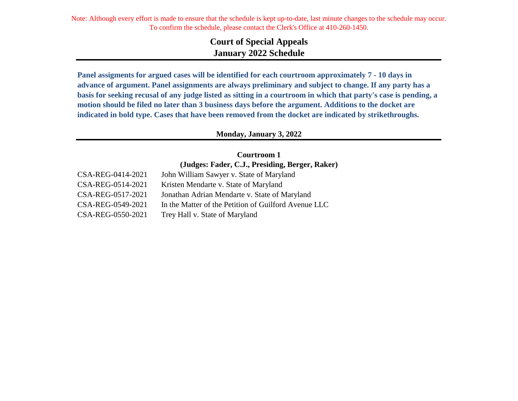> **Court of Special Appeals January 2022 Schedule**

**Panel assigments for argued cases will be identified for each courtroom approximately 7 - 10 days in advance of argument. Panel assignments are always preliminary and subject to change. If any party has a basis for seeking recusal of any judge listed as sitting in a courtroom in which that party's case is pending, a motion should be filed no later than 3 business days before the argument. Additions to the docket are indicated in bold type. Cases that have been removed from the docket are indicated by strikethroughs.**

#### **Monday, January 3, 2022**

**Courtroom 1 (Judges: Fader, C.J., Presiding, Berger, Raker)**

| CSA-REG-0414-2021 | John William Sawyer v. State of Maryland             |
|-------------------|------------------------------------------------------|
| CSA-REG-0514-2021 | Kristen Mendarte v. State of Maryland                |
| CSA-REG-0517-2021 | Jonathan Adrian Mendarte v. State of Maryland        |
| CSA-REG-0549-2021 | In the Matter of the Petition of Guilford Avenue LLC |
| CSA-REG-0550-2021 | Trey Hall v. State of Maryland                       |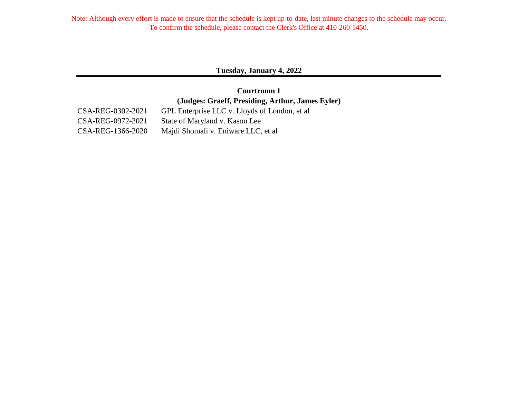**Tuesday, January 4, 2022**

**(Judges: Graeff, Presiding, Arthur, James Eyler) Courtroom 1**

CSA-REG-0302-2021 GPL Enterprise LLC v. Lloyds of London, et al CSA-REG-0972-2021 State of Maryland v. Kason Lee CSA-REG-1366-2020 Majdi Shomali v. Eniware LLC, et al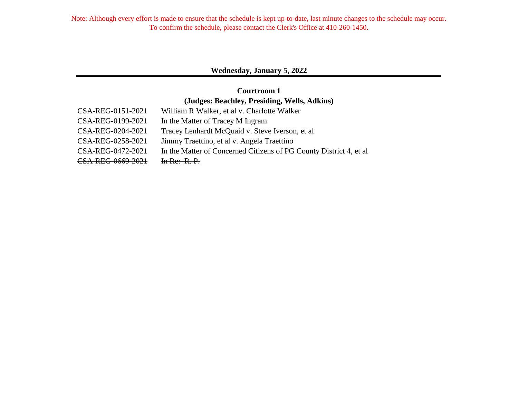## **Wednesday, January 5, 2022**

## **Courtroom 1 (Judges: Beachley, Presiding, Wells, Adkins)**

| CSA-REG-0151-2021 | William R Walker, et al v. Charlotte Walker                         |
|-------------------|---------------------------------------------------------------------|
| CSA-REG-0199-2021 | In the Matter of Tracey M Ingram                                    |
| CSA-REG-0204-2021 | Tracey Lenhardt McQuaid v. Steve Iverson, et al.                    |
| CSA-REG-0258-2021 | Jimmy Traettino, et al v. Angela Traettino                          |
| CSA-REG-0472-2021 | In the Matter of Concerned Citizens of PG County District 4, et al. |
| CSA-REG-0669-2021 | In Re: R.P.                                                         |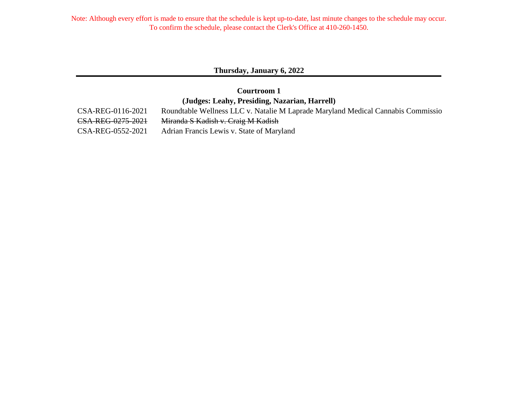#### **Thursday, January 6, 2022**

## **Courtroom 1 (Judges: Leahy, Presiding, Nazarian, Harrell)**

CSA-REG-0116-2021 Roundtable Wellness LLC v. Natalie M Laprade Maryland Medical Cannabis Commission CSA-REG-0275-2021 Miranda S Kadish v. Craig M Kadish CSA-REG-0552-2021 Adrian Francis Lewis v. State of Maryland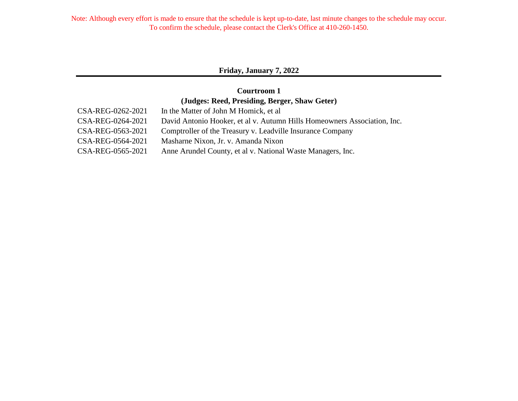## **Friday, January 7, 2022**

## **Courtroom 1 (Judges: Reed, Presiding, Berger, Shaw Geter)**

| CSA-REG-0262-2021 | In the Matter of John M Homick, et al.                                   |
|-------------------|--------------------------------------------------------------------------|
| CSA-REG-0264-2021 | David Antonio Hooker, et al v. Autumn Hills Homeowners Association, Inc. |
| CSA-REG-0563-2021 | Comptroller of the Treasury v. Leadville Insurance Company               |
| CSA-REG-0564-2021 | Masharne Nixon, Jr. v. Amanda Nixon                                      |
| CSA-REG-0565-2021 | Anne Arundel County, et al v. National Waste Managers, Inc.              |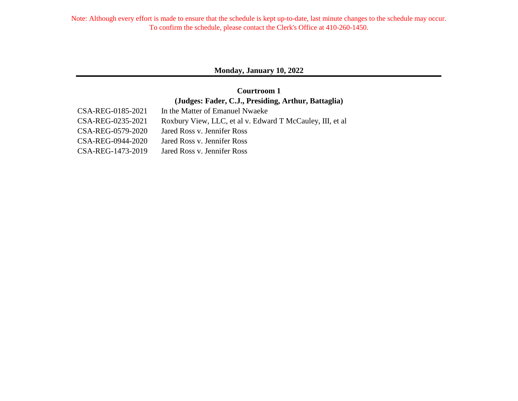#### **Monday, January 10, 2022**

## **Courtroom 1 (Judges: Fader, C.J., Presiding, Arthur, Battaglia)**

| CSA-REG-0185-2021 | In the Matter of Emanuel Nwaeke                            |
|-------------------|------------------------------------------------------------|
| CSA-REG-0235-2021 | Roxbury View, LLC, et al v. Edward T McCauley, III, et al. |
| CSA-REG-0579-2020 | Jared Ross v. Jennifer Ross                                |
| CSA-REG-0944-2020 | Jared Ross v. Jennifer Ross                                |
| CSA-REG-1473-2019 | Jared Ross v. Jennifer Ross                                |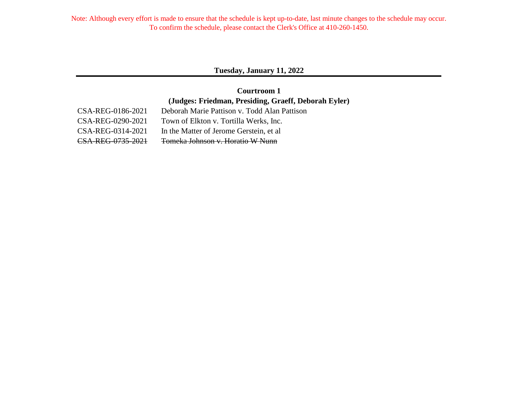#### **Tuesday, January 11, 2022**

## **Courtroom 1 (Judges: Friedman, Presiding, Graeff, Deborah Eyler)**

| CSA-REG-0186-2021 | Deborah Marie Pattison v. Todd Alan      |
|-------------------|------------------------------------------|
| CSA-REG-0290-2021 | Town of Elkton v. Tortilla Werks, Inc.   |
| CSA-REG-0314-2021 | In the Matter of Jerome Gerstein, et al. |
| CSA-REG-0735-2021 | Tomeka Johnson v. Horatio W Nunn         |

CSA-REG-0186-2021 Deborah Marie Pattison v. Todd Alan Pattison CSA-REG-0290-2021 Town of Elkton v. Tortilla Werks, Inc. CSA-REG-0314-2021 In the Matter of Jerome Gerstein, et al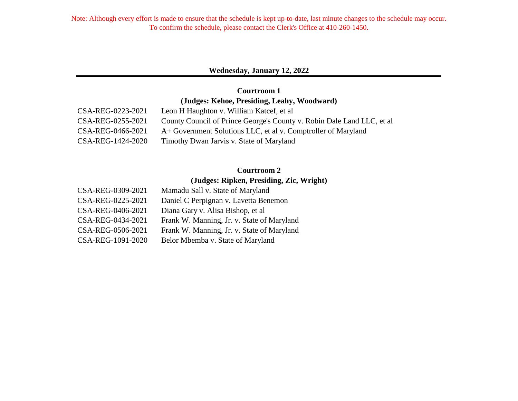#### **Wednesday, January 12, 2022**

## **Courtroom 1 (Judges: Kehoe, Presiding, Leahy, Woodward)**

| CSA-REG-0223-2021 | Leon H Haughton v. William Katcef, et al                               |
|-------------------|------------------------------------------------------------------------|
| CSA-REG-0255-2021 | County Council of Prince George's County v. Robin Dale Land LLC, et al |
| CSA-REG-0466-2021 | A+ Government Solutions LLC, et al v. Comptroller of Maryland          |
| CSA-REG-1424-2020 | Timothy Dwan Jarvis v. State of Maryland                               |

## **Courtroom 2**

#### **(Judges: Ripken, Presiding, Zic, Wright)**

| CSA-REG-0309-2021 | Mamadu Sall v. State of Maryland           |
|-------------------|--------------------------------------------|
| CSA-REG-0225-2021 | Daniel C Perpignan v. Lavetta Benemon      |
| CSA-REG-0406-2021 | Diana Gary v. Alisa Bishop, et al          |
| CSA-REG-0434-2021 | Frank W. Manning, Jr. v. State of Maryland |
| CSA-REG-0506-2021 | Frank W. Manning, Jr. v. State of Maryland |
| CSA-REG-1091-2020 | Belor Mbemba v. State of Maryland          |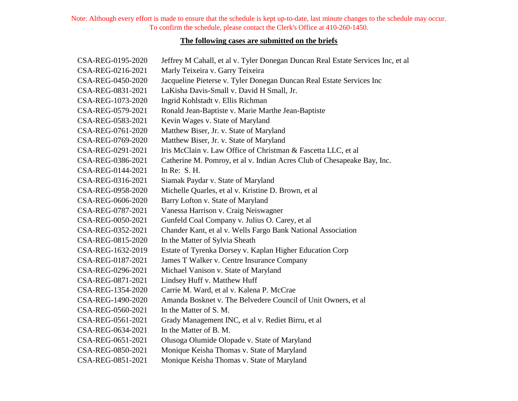#### **The following cases are submitted on the briefs**

| CSA-REG-0195-2020 | Jeffrey M Cahall, et al v. Tyler Donegan Duncan Real Estate Services Inc, et al |
|-------------------|---------------------------------------------------------------------------------|
| CSA-REG-0216-2021 | Marly Teixeira v. Garry Teixeira                                                |
| CSA-REG-0450-2020 | Jacqueline Pieterse v. Tyler Donegan Duncan Real Estate Services Inc            |
| CSA-REG-0831-2021 | LaKisha Davis-Small v. David H Small, Jr.                                       |
| CSA-REG-1073-2020 | Ingrid Kohlstadt v. Ellis Richman                                               |
| CSA-REG-0579-2021 | Ronald Jean-Baptiste v. Marie Marthe Jean-Baptiste                              |
| CSA-REG-0583-2021 | Kevin Wages v. State of Maryland                                                |
| CSA-REG-0761-2020 | Matthew Biser, Jr. v. State of Maryland                                         |
| CSA-REG-0769-2020 | Matthew Biser, Jr. v. State of Maryland                                         |
| CSA-REG-0291-2021 | Iris McClain v. Law Office of Christman & Fascetta LLC, et al                   |
| CSA-REG-0386-2021 | Catherine M. Pomroy, et al v. Indian Acres Club of Chesapeake Bay, Inc.         |
| CSA-REG-0144-2021 | In Re: $S. H.$                                                                  |
| CSA-REG-0316-2021 | Siamak Paydar v. State of Maryland                                              |
| CSA-REG-0958-2020 | Michelle Quarles, et al v. Kristine D. Brown, et al                             |
| CSA-REG-0606-2020 | Barry Lofton v. State of Maryland                                               |
| CSA-REG-0787-2021 | Vanessa Harrison v. Craig Neiswagner                                            |
| CSA-REG-0050-2021 | Gunfeld Coal Company v. Julius O. Carey, et al                                  |
| CSA-REG-0352-2021 | Chander Kant, et al v. Wells Fargo Bank National Association                    |
| CSA-REG-0815-2020 | In the Matter of Sylvia Sheath                                                  |
| CSA-REG-1632-2019 | Estate of Tyrenka Dorsey v. Kaplan Higher Education Corp                        |
| CSA-REG-0187-2021 | James T Walker v. Centre Insurance Company                                      |
| CSA-REG-0296-2021 | Michael Vanison v. State of Maryland                                            |
| CSA-REG-0871-2021 | Lindsey Huff v. Matthew Huff                                                    |
| CSA-REG-1354-2020 | Carrie M. Ward, et al v. Kalena P. McCrae                                       |
| CSA-REG-1490-2020 | Amanda Bosknet v. The Belvedere Council of Unit Owners, et al                   |
| CSA-REG-0560-2021 | In the Matter of S. M.                                                          |
| CSA-REG-0561-2021 | Grady Management INC, et al v. Rediet Birru, et al                              |
| CSA-REG-0634-2021 | In the Matter of B. M.                                                          |
| CSA-REG-0651-2021 | Olusoga Olumide Olopade v. State of Maryland                                    |
| CSA-REG-0850-2021 | Monique Keisha Thomas v. State of Maryland                                      |
| CSA-REG-0851-2021 | Monique Keisha Thomas v. State of Maryland                                      |
|                   |                                                                                 |